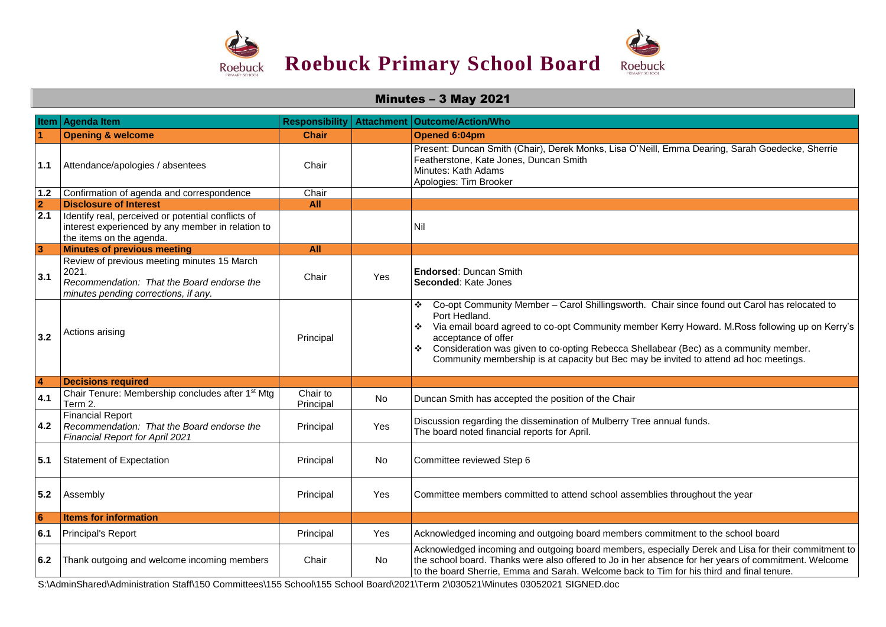

| <b>Minutes - 3 May 2021</b> |                                                                                                                                            |                                     |                   |                                                                                                                                                                                                                                                                                                                                                                                                                                        |  |  |  |
|-----------------------------|--------------------------------------------------------------------------------------------------------------------------------------------|-------------------------------------|-------------------|----------------------------------------------------------------------------------------------------------------------------------------------------------------------------------------------------------------------------------------------------------------------------------------------------------------------------------------------------------------------------------------------------------------------------------------|--|--|--|
| Item                        | <b>Agenda Item</b>                                                                                                                         | <b>Responsibility</b>               | <b>Attachment</b> | <b>Outcome/Action/Who</b>                                                                                                                                                                                                                                                                                                                                                                                                              |  |  |  |
|                             | <b>Opening &amp; welcome</b>                                                                                                               | <b>Chair</b>                        |                   | Opened 6:04pm                                                                                                                                                                                                                                                                                                                                                                                                                          |  |  |  |
| 1.1                         | Attendance/apologies / absentees                                                                                                           | Chair                               |                   | Present: Duncan Smith (Chair), Derek Monks, Lisa O'Neill, Emma Dearing, Sarah Goedecke, Sherrie<br>Featherstone, Kate Jones, Duncan Smith<br>Minutes: Kath Adams<br>Apologies: Tim Brooker                                                                                                                                                                                                                                             |  |  |  |
| 1.2                         | Confirmation of agenda and correspondence                                                                                                  | Chair                               |                   |                                                                                                                                                                                                                                                                                                                                                                                                                                        |  |  |  |
| $\overline{2}$              | <b>Disclosure of Interest</b>                                                                                                              | All                                 |                   |                                                                                                                                                                                                                                                                                                                                                                                                                                        |  |  |  |
| 2.1                         | Identify real, perceived or potential conflicts of<br>interest experienced by any member in relation to<br>the items on the agenda.        |                                     |                   | Nil                                                                                                                                                                                                                                                                                                                                                                                                                                    |  |  |  |
| 3                           | <b>Minutes of previous meeting</b>                                                                                                         | <b>All</b>                          |                   |                                                                                                                                                                                                                                                                                                                                                                                                                                        |  |  |  |
| 3.1                         | Review of previous meeting minutes 15 March<br>2021.<br>Recommendation: That the Board endorse the<br>minutes pending corrections, if any. | Chair                               | Yes               | <b>Endorsed: Duncan Smith</b><br>Seconded: Kate Jones                                                                                                                                                                                                                                                                                                                                                                                  |  |  |  |
| 3.2                         | Actions arising                                                                                                                            | Principal                           |                   | Co-opt Community Member - Carol Shillingsworth. Chair since found out Carol has relocated to<br>❖<br>Port Hedland.<br>Via email board agreed to co-opt Community member Kerry Howard. M.Ross following up on Kerry's<br>❖<br>acceptance of offer<br>Consideration was given to co-opting Rebecca Shellabear (Bec) as a community member.<br>❖<br>Community membership is at capacity but Bec may be invited to attend ad hoc meetings. |  |  |  |
| $\overline{4}$              | <b>Decisions required</b>                                                                                                                  |                                     |                   |                                                                                                                                                                                                                                                                                                                                                                                                                                        |  |  |  |
| 4.1                         | Chair Tenure: Membership concludes after 1 <sup>st</sup> Mtg<br>Term 2.                                                                    | Chair to<br>Principal               | <b>No</b>         | Duncan Smith has accepted the position of the Chair                                                                                                                                                                                                                                                                                                                                                                                    |  |  |  |
| 4.2                         | <b>Financial Report</b><br>Recommendation: That the Board endorse the<br>Financial Report for April 2021                                   | Principal                           | Yes               | Discussion regarding the dissemination of Mulberry Tree annual funds.<br>The board noted financial reports for April.                                                                                                                                                                                                                                                                                                                  |  |  |  |
| 5.1                         | <b>Statement of Expectation</b>                                                                                                            | Principal                           | No                | Committee reviewed Step 6                                                                                                                                                                                                                                                                                                                                                                                                              |  |  |  |
| 5.2                         | Assembly                                                                                                                                   | Principal                           | Yes               | Committee members committed to attend school assemblies throughout the year                                                                                                                                                                                                                                                                                                                                                            |  |  |  |
| $6\phantom{1}6$             | <b>Items for information</b>                                                                                                               |                                     |                   |                                                                                                                                                                                                                                                                                                                                                                                                                                        |  |  |  |
| 6.1                         | Principal's Report                                                                                                                         | Principal                           | Yes               | Acknowledged incoming and outgoing board members commitment to the school board                                                                                                                                                                                                                                                                                                                                                        |  |  |  |
| 6.2                         | Thank outgoing and welcome incoming members                                                                                                | Chair<br>$\cdots$ $\cdots$ $\cdots$ | No.               | Acknowledged incoming and outgoing board members, especially Derek and Lisa for their commitment to<br>the school board. Thanks were also offered to Jo in her absence for her years of commitment. Welcome<br>to the board Sherrie, Emma and Sarah. Welcome back to Tim for his third and final tenure.                                                                                                                               |  |  |  |

S:\AdminShared\Administration Staff\150 Committees\155 School\155 School Board\2021\Term 2\030521\Minutes 03052021 SIGNED.doc